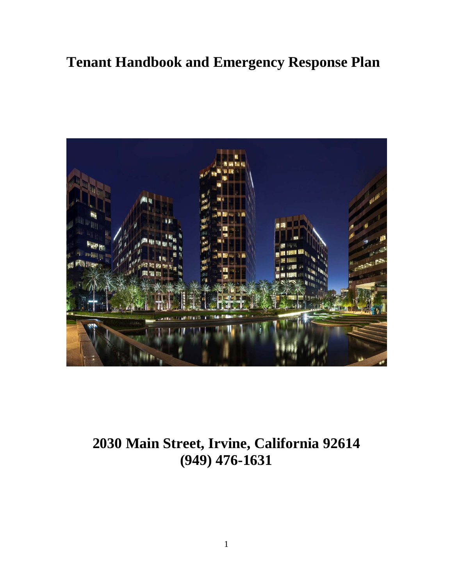# **Tenant Handbook and Emergency Response Plan**



## **2030 Main Street, Irvine, California 92614 (949) 476-1631**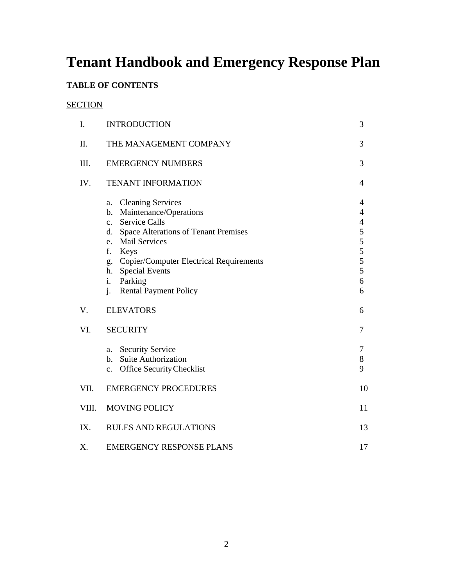# **Tenant Handbook and Emergency Response Plan**

## **TABLE OF CONTENTS**

## **SECTION**

| I.    | <b>INTRODUCTION</b>                                                                                                                                                                                                                                                                                                                 | 3                                                                                  |
|-------|-------------------------------------------------------------------------------------------------------------------------------------------------------------------------------------------------------------------------------------------------------------------------------------------------------------------------------------|------------------------------------------------------------------------------------|
| Π.    | THE MANAGEMENT COMPANY                                                                                                                                                                                                                                                                                                              | 3                                                                                  |
| III.  | <b>EMERGENCY NUMBERS</b>                                                                                                                                                                                                                                                                                                            | 3                                                                                  |
| IV.   | <b>TENANT INFORMATION</b>                                                                                                                                                                                                                                                                                                           | 4                                                                                  |
|       | <b>Cleaning Services</b><br>a.<br>Maintenance/Operations<br>b.<br><b>Service Calls</b><br>$\mathbf{c}$ .<br>d. Space Alterations of Tenant Premises<br><b>Mail Services</b><br>e.<br>f.<br>Keys<br><b>Copier/Computer Electrical Requirements</b><br>g.<br>h. Special Events<br>i.<br>Parking<br><b>Rental Payment Policy</b><br>j. | 4<br>$\overline{4}$<br>$\overline{\mathcal{L}}$<br>5<br>5<br>5<br>5<br>5<br>6<br>6 |
| V.    | <b>ELEVATORS</b>                                                                                                                                                                                                                                                                                                                    | 6                                                                                  |
| VI.   | <b>SECURITY</b>                                                                                                                                                                                                                                                                                                                     | $\tau$                                                                             |
|       | <b>Security Service</b><br>a.<br>b. Suite Authorization<br><b>Office Security Checklist</b><br>c.                                                                                                                                                                                                                                   | $\tau$<br>8<br>9                                                                   |
| VII.  | <b>EMERGENCY PROCEDURES</b>                                                                                                                                                                                                                                                                                                         | 10                                                                                 |
| VIII. | <b>MOVING POLICY</b>                                                                                                                                                                                                                                                                                                                | 11                                                                                 |
| IX.   | <b>RULES AND REGULATIONS</b>                                                                                                                                                                                                                                                                                                        | 13                                                                                 |
| X.    | <b>EMERGENCY RESPONSE PLANS</b>                                                                                                                                                                                                                                                                                                     | 17                                                                                 |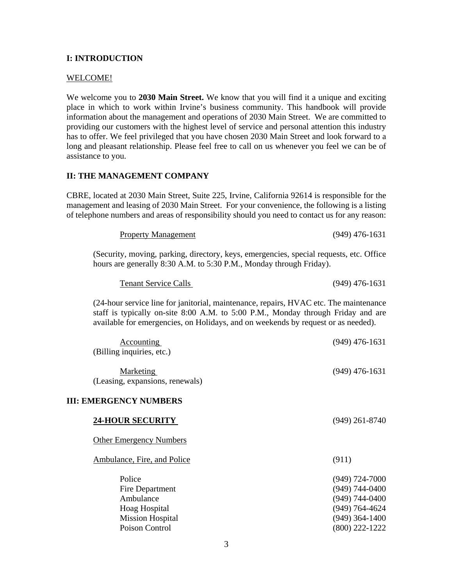## **I: INTRODUCTION**

#### WELCOME!

We welcome you to **2030 Main Street.** We know that you will find it a unique and exciting place in which to work within Irvine's business community. This handbook will provide information about the management and operations of 2030 Main Street.We are committed to providing our customers with the highest level of service and personal attention this industry has to offer. We feel privileged that you have chosen 2030 Main Street and look forward to a long and pleasant relationship. Please feel free to call on us whenever you feel we can be of assistance to you.

## **II: THE MANAGEMENT COMPANY**

CBRE, located at 2030 Main Street, Suite 225, Irvine, California 92614 is responsible for the management and leasing of 2030 Main Street. For your convenience, the following is a listing of telephone numbers and areas of responsibility should you need to contact us for any reason:

| <b>Property Management</b> | $(949)$ 476-1631 |
|----------------------------|------------------|
|                            |                  |

(Security, moving, parking, directory, keys, emergencies, special requests, etc. Office hours are generally 8:30 A.M. to 5:30 P.M., Monday through Friday).

| <b>Tenant Service Calls</b> | $(949)$ 476-1631 |
|-----------------------------|------------------|
|                             |                  |

(24-hour service line for janitorial, maintenance, repairs, HVAC etc. The maintenance staff is typically on-site 8:00 A.M. to 5:00 P.M., Monday through Friday and are available for emergencies, on Holidays, and on weekends by request or as needed).

| $(949)$ 476-1631<br><b>Marketing</b><br>(Leasing, expansions, renewals)<br><b>24-HOUR SECURITY</b><br>$(949)$ 261-8740<br><b>Other Emergency Numbers</b><br>Ambulance, Fire, and Police<br>(911)<br>Police<br>$(949) 724 - 7000$<br>$(949) 744 - 0400$<br>Fire Department<br>Ambulance<br>$(949) 744 - 0400$<br>(949) 764-4624<br>Hoag Hospital<br>$(949)$ 364-1400<br><b>Mission Hospital</b><br>Poison Control<br>$(800)$ 222-1222 | <b>Accounting</b><br>(Billing inquiries, etc.) | $(949)$ 476-1631 |
|--------------------------------------------------------------------------------------------------------------------------------------------------------------------------------------------------------------------------------------------------------------------------------------------------------------------------------------------------------------------------------------------------------------------------------------|------------------------------------------------|------------------|
|                                                                                                                                                                                                                                                                                                                                                                                                                                      |                                                |                  |
|                                                                                                                                                                                                                                                                                                                                                                                                                                      | <b>III: EMERGENCY NUMBERS</b>                  |                  |
|                                                                                                                                                                                                                                                                                                                                                                                                                                      |                                                |                  |
|                                                                                                                                                                                                                                                                                                                                                                                                                                      |                                                |                  |
|                                                                                                                                                                                                                                                                                                                                                                                                                                      |                                                |                  |
|                                                                                                                                                                                                                                                                                                                                                                                                                                      |                                                |                  |
|                                                                                                                                                                                                                                                                                                                                                                                                                                      |                                                |                  |
|                                                                                                                                                                                                                                                                                                                                                                                                                                      |                                                |                  |
|                                                                                                                                                                                                                                                                                                                                                                                                                                      |                                                |                  |
|                                                                                                                                                                                                                                                                                                                                                                                                                                      |                                                |                  |
|                                                                                                                                                                                                                                                                                                                                                                                                                                      |                                                |                  |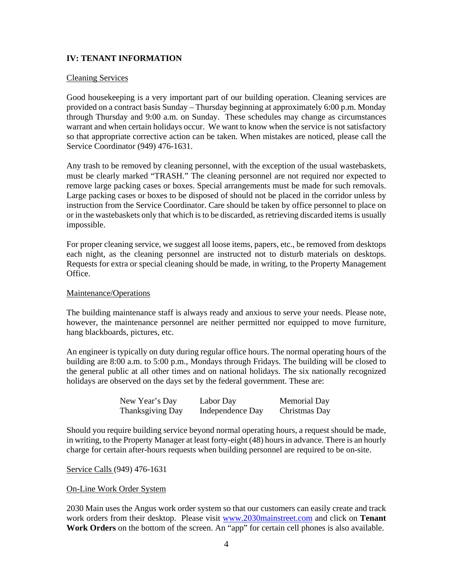## **IV: TENANT INFORMATION**

#### Cleaning Services

Good housekeeping is a very important part of our building operation. Cleaning services are provided on a contract basis Sunday – Thursday beginning at approximately 6:00 p.m. Monday through Thursday and 9:00 a.m. on Sunday. These schedules may change as circumstances warrant and when certain holidays occur. We want to know when the service is not satisfactory so that appropriate corrective action can be taken. When mistakes are noticed, please call the Service Coordinator (949) 476-1631.

Any trash to be removed by cleaning personnel, with the exception of the usual wastebaskets, must be clearly marked "TRASH." The cleaning personnel are not required nor expected to remove large packing cases or boxes. Special arrangements must be made for such removals. Large packing cases or boxes to be disposed of should not be placed in the corridor unless by instruction from the Service Coordinator. Care should be taken by office personnel to place on or in the wastebaskets only that which is to be discarded, as retrieving discarded items is usually impossible.

For proper cleaning service, we suggest all loose items, papers, etc., be removed from desktops each night, as the cleaning personnel are instructed not to disturb materials on desktops. Requests for extra or special cleaning should be made, in writing, to the Property Management Office.

#### Maintenance/Operations

The building maintenance staff is always ready and anxious to serve your needs. Please note, however, the maintenance personnel are neither permitted nor equipped to move furniture, hang blackboards, pictures, etc.

An engineer is typically on duty during regular office hours. The normal operating hours of the building are 8:00 a.m. to 5:00 p.m., Mondays through Fridays. The building will be closed to the general public at all other times and on national holidays. The six nationally recognized holidays are observed on the days set by the federal government. These are:

| New Year's Day   | Labor Day        | Memorial Day  |
|------------------|------------------|---------------|
| Thanksgiving Day | Independence Day | Christmas Day |

Should you require building service beyond normal operating hours, a request should be made, in writing, to the Property Manager at least forty-eight (48) hours in advance. There is an hourly charge for certain after-hours requests when building personnel are required to be on-site.

Service Calls (949) 476-1631

#### On-Line Work Order System

2030 Main uses the Angus work order system so that our customers can easily create and track work orders from their desktop. Please visit www.2030mainstreet.com and click on **Tenant Work Orders** on the bottom of the screen. An "app" for certain cell phones is also available.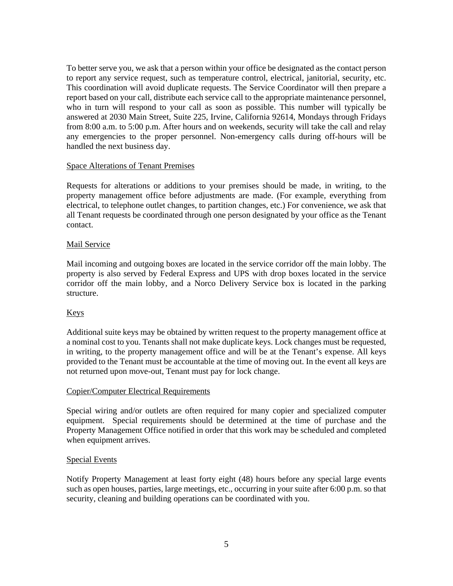To better serve you, we ask that a person within your office be designated as the contact person to report any service request, such as temperature control, electrical, janitorial, security, etc. This coordination will avoid duplicate requests. The Service Coordinator will then prepare a report based on your call, distribute each service call to the appropriate maintenance personnel, who in turn will respond to your call as soon as possible. This number will typically be answered at 2030 Main Street, Suite 225, Irvine, California 92614, Mondays through Fridays from 8:00 a.m. to 5:00 p.m. After hours and on weekends, security will take the call and relay any emergencies to the proper personnel. Non-emergency calls during off-hours will be handled the next business day.

## Space Alterations of Tenant Premises

Requests for alterations or additions to your premises should be made, in writing, to the property management office before adjustments are made. (For example, everything from electrical, to telephone outlet changes, to partition changes, etc.) For convenience, we ask that all Tenant requests be coordinated through one person designated by your office as the Tenant contact.

## Mail Service

Mail incoming and outgoing boxes are located in the service corridor off the main lobby. The property is also served by Federal Express and UPS with drop boxes located in the service corridor off the main lobby, and a Norco Delivery Service box is located in the parking structure.

## Keys

Additional suite keys may be obtained by written request to the property management office at a nominal cost to you. Tenants shall not make duplicate keys. Lock changes must be requested, in writing, to the property management office and will be at the Tenant's expense. All keys provided to the Tenant must be accountable at the time of moving out. In the event all keys are not returned upon move-out, Tenant must pay for lock change.

## Copier/Computer Electrical Requirements

Special wiring and/or outlets are often required for many copier and specialized computer equipment. Special requirements should be determined at the time of purchase and the Property Management Office notified in order that this work may be scheduled and completed when equipment arrives.

## Special Events

Notify Property Management at least forty eight (48) hours before any special large events such as open houses, parties, large meetings, etc., occurring in your suite after 6:00 p.m. so that security, cleaning and building operations can be coordinated with you.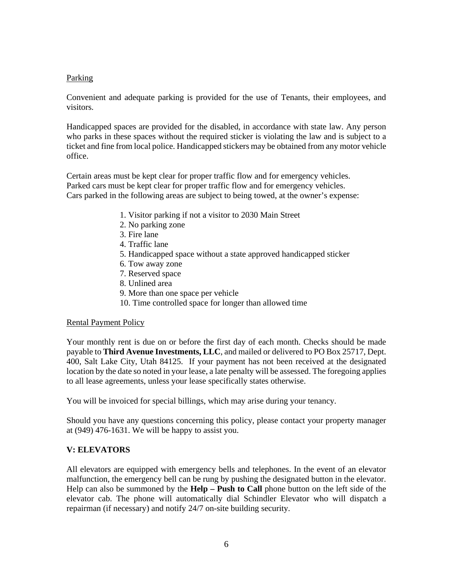## Parking

Convenient and adequate parking is provided for the use of Tenants, their employees, and visitors.

Handicapped spaces are provided for the disabled, in accordance with state law. Any person who parks in these spaces without the required sticker is violating the law and is subject to a ticket and fine from local police. Handicapped stickers may be obtained from any motor vehicle office.

Certain areas must be kept clear for proper traffic flow and for emergency vehicles. Parked cars must be kept clear for proper traffic flow and for emergency vehicles. Cars parked in the following areas are subject to being towed, at the owner's expense:

- 1. Visitor parking if not a visitor to 2030 Main Street
- 2. No parking zone
- 3. Fire lane
- 4. Traffic lane
- 5. Handicapped space without a state approved handicapped sticker
- 6. Tow away zone
- 7. Reserved space
- 8. Unlined area
- 9. More than one space per vehicle
- 10. Time controlled space for longer than allowed time

## Rental Payment Policy

Your monthly rent is due on or before the first day of each month. Checks should be made payable to **Third Avenue Investments, LLC**, and mailed or delivered to PO Box 25717, Dept. 400, Salt Lake City, Utah 84125. If your payment has not been received at the designated location by the date so noted in your lease, a late penalty will be assessed. The foregoing applies to all lease agreements, unless your lease specifically states otherwise.

You will be invoiced for special billings, which may arise during your tenancy.

Should you have any questions concerning this policy, please contact your property manager at (949) 476-1631. We will be happy to assist you.

## **V: ELEVATORS**

All elevators are equipped with emergency bells and telephones. In the event of an elevator malfunction, the emergency bell can be rung by pushing the designated button in the elevator. Help can also be summoned by the **Help – Push to Call** phone button on the left side of the elevator cab. The phone will automatically dial Schindler Elevator who will dispatch a repairman (if necessary) and notify 24/7 on-site building security.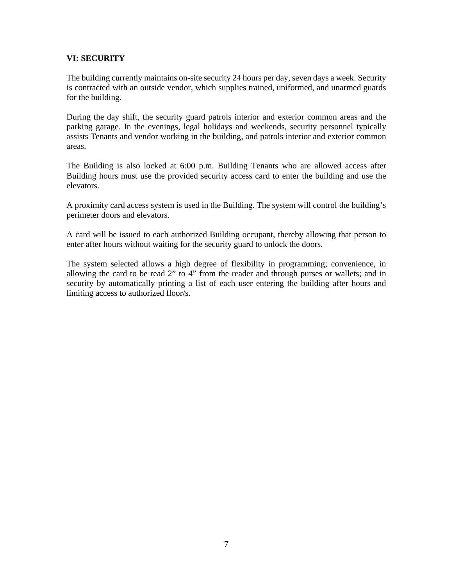## **VI: SECURITY**

The building currently maintains on-site security 24 hours per day, seven days a week. Security is contracted with an outside vendor, which supplies trained, uniformed, and unarmed guards for the building.

During the day shift, the security guard patrols interior and exterior common areas and the parking garage. In the evenings, legal holidays and weekends, security personnel typically assists Tenants and vendor working in the building, and patrols interior and exterior common areas.

The Building is also locked at 6:00 p.m. Building Tenants who are allowed access after Building hours must use the provided security access card to enter the building and use the elevators.

A proximity card access system is used in the Building. The system will control the building's perimeter doors and elevators.

A card will be issued to each authorized Building occupant, thereby allowing that person to enter after hours without waiting for the security guard to unlock the doors.

The system selected allows a high degree of flexibility in programming; convenience, in allowing the card to be read 2" to 4" from the reader and through purses or wallets; and in security by automatically printing a list of each user entering the building after hours and limiting access to authorized floor/s.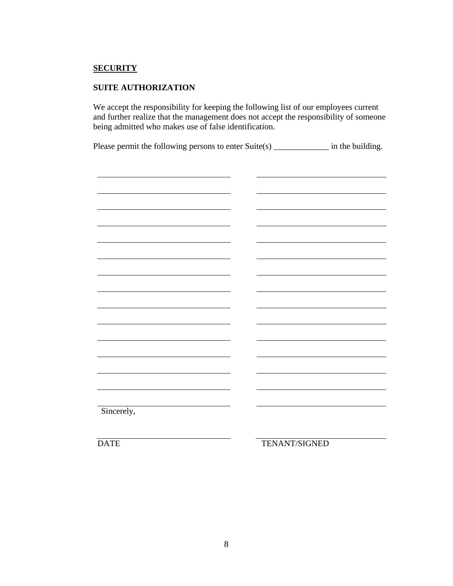## **SECURITY**

## **SUITE AUTHORIZATION**

We accept the responsibility for keeping the following list of our employees current and further realize that the management does not accept the responsibility of someone being admitted who makes use of false identification.

Please permit the following persons to enter Suite(s) \_\_\_\_\_\_\_\_\_\_\_\_\_\_ in the building.



DATE TENANT/SIGNED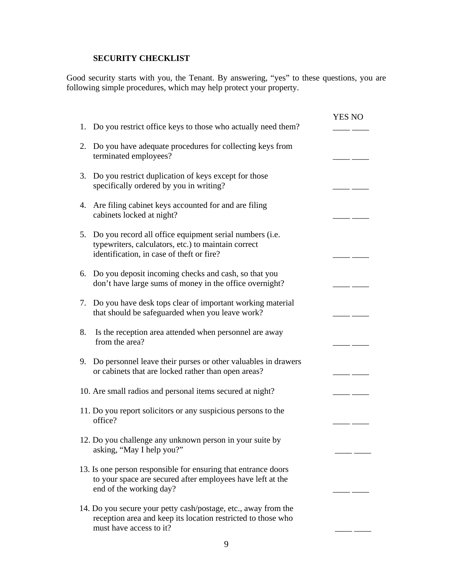## **SECURITY CHECKLIST**

Good security starts with you, the Tenant. By answering, "yes" to these questions, you are following simple procedures, which may help protect your property.

|    |                                                                                                                                                             | <b>YES NO</b> |  |
|----|-------------------------------------------------------------------------------------------------------------------------------------------------------------|---------------|--|
|    | 1. Do you restrict office keys to those who actually need them?                                                                                             |               |  |
| 2. | Do you have adequate procedures for collecting keys from<br>terminated employees?                                                                           |               |  |
| 3. | Do you restrict duplication of keys except for those<br>specifically ordered by you in writing?                                                             |               |  |
| 4. | Are filing cabinet keys accounted for and are filing<br>cabinets locked at night?                                                                           |               |  |
| 5. | Do you record all office equipment serial numbers (i.e.<br>typewriters, calculators, etc.) to maintain correct<br>identification, in case of theft or fire? |               |  |
| 6. | Do you deposit incoming checks and cash, so that you<br>don't have large sums of money in the office overnight?                                             |               |  |
| 7. | Do you have desk tops clear of important working material<br>that should be safeguarded when you leave work?                                                |               |  |
| 8. | Is the reception area attended when personnel are away<br>from the area?                                                                                    |               |  |
| 9. | Do personnel leave their purses or other valuables in drawers<br>or cabinets that are locked rather than open areas?                                        |               |  |
|    | 10. Are small radios and personal items secured at night?                                                                                                   |               |  |
|    | 11. Do you report solicitors or any suspicious persons to the<br>office?                                                                                    |               |  |
|    | 12. Do you challenge any unknown person in your suite by<br>asking, "May I help you?"                                                                       |               |  |
|    | 13. Is one person responsible for ensuring that entrance doors<br>to your space are secured after employees have left at the<br>end of the working day?     |               |  |
|    | 14. Do you secure your petty cash/postage, etc., away from the<br>reception area and keep its location restricted to those who<br>must have access to it?   |               |  |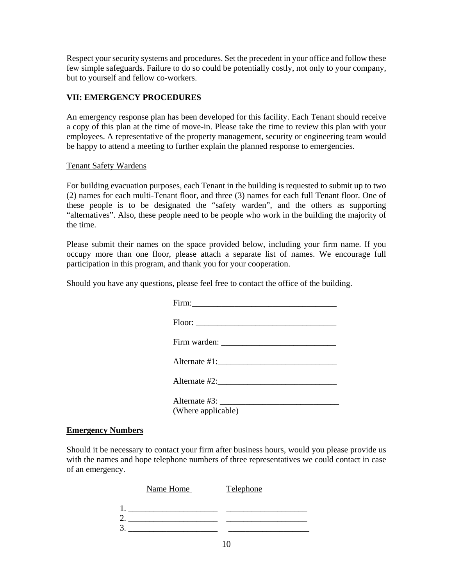Respect your security systems and procedures. Set the precedent in your office and follow these few simple safeguards. Failure to do so could be potentially costly, not only to your company, but to yourself and fellow co-workers.

## **VII: EMERGENCY PROCEDURES**

An emergency response plan has been developed for this facility. Each Tenant should receive a copy of this plan at the time of move-in. Please take the time to review this plan with your employees. A representative of the property management, security or engineering team would be happy to attend a meeting to further explain the planned response to emergencies.

## Tenant Safety Wardens

For building evacuation purposes, each Tenant in the building is requested to submit up to two (2) names for each multi-Tenant floor, and three (3) names for each full Tenant floor. One of these people is to be designated the "safety warden", and the others as supporting "alternatives". Also, these people need to be people who work in the building the majority of the time.

Please submit their names on the space provided below, including your firm name. If you occupy more than one floor, please attach a separate list of names. We encourage full participation in this program, and thank you for your cooperation.

Should you have any questions, please feel free to contact the office of the building.

| Alternate #1:      |
|--------------------|
| Alternate #2:      |
| (Where applicable) |

## **Emergency Numbers**

Should it be necessary to contact your firm after business hours, would you please provide us with the names and hope telephone numbers of three representatives we could contact in case of an emergency.

|   | Name Home | Telephone |
|---|-----------|-----------|
|   |           |           |
| ⌒ |           |           |
| 3 |           |           |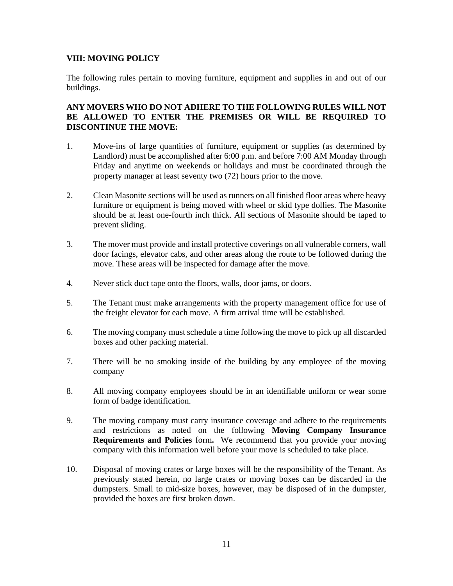## **VIII: MOVING POLICY**

The following rules pertain to moving furniture, equipment and supplies in and out of our buildings.

## **ANY MOVERS WHO DO NOT ADHERE TO THE FOLLOWING RULES WILL NOT BE ALLOWED TO ENTER THE PREMISES OR WILL BE REQUIRED TO DISCONTINUE THE MOVE:**

- 1. Move-ins of large quantities of furniture, equipment or supplies (as determined by Landlord) must be accomplished after 6:00 p.m. and before 7:00 AM Monday through Friday and anytime on weekends or holidays and must be coordinated through the property manager at least seventy two (72) hours prior to the move.
- 2. Clean Masonite sections will be used as runners on all finished floor areas where heavy furniture or equipment is being moved with wheel or skid type dollies. The Masonite should be at least one-fourth inch thick. All sections of Masonite should be taped to prevent sliding.
- 3. The mover must provide and install protective coverings on all vulnerable corners, wall door facings, elevator cabs, and other areas along the route to be followed during the move. These areas will be inspected for damage after the move.
- 4. Never stick duct tape onto the floors, walls, door jams, or doors.
- 5. The Tenant must make arrangements with the property management office for use of the freight elevator for each move. A firm arrival time will be established.
- 6. The moving company must schedule a time following the move to pick up all discarded boxes and other packing material.
- 7. There will be no smoking inside of the building by any employee of the moving company
- 8. All moving company employees should be in an identifiable uniform or wear some form of badge identification.
- 9. The moving company must carry insurance coverage and adhere to the requirements and restrictions as noted on the following **Moving Company Insurance Requirements and Policies** form. We recommend that you provide your moving company with this information well before your move is scheduled to take place.
- 10. Disposal of moving crates or large boxes will be the responsibility of the Tenant. As previously stated herein, no large crates or moving boxes can be discarded in the dumpsters. Small to mid-size boxes, however, may be disposed of in the dumpster, provided the boxes are first broken down.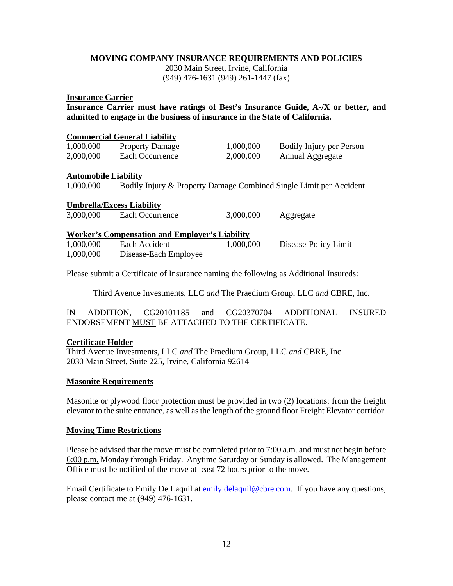## **MOVING COMPANY INSURANCE REQUIREMENTS AND POLICIES**

2030 Main Street, Irvine, California (949) 476-1631 (949) 261-1447 (fax)

#### **Insurance Carrier**

**Insurance Carrier must have ratings of Best's Insurance Guide, A-/X or better, and admitted to engage in the business of insurance in the State of California.** 

## **Commercial General Liability**

| 1,000,000 | <b>Property Damage</b> | 1,000,000 | <b>Bodily Injury per Person</b> |
|-----------|------------------------|-----------|---------------------------------|
| 2,000,000 | Each Occurrence        | 2,000,000 | Annual Aggregate                |

## **Automobile Liability**

1,000,000 Bodily Injury & Property Damage Combined Single Limit per Accident

## **Umbrella/Excess Liability**

| 3,000,000 | Each Occurrence | 3,000,000 | Aggregate |
|-----------|-----------------|-----------|-----------|

#### **Worker's Compensation and Employer's Liability**  1,000,000 Each Accident 1,000,000 Disease-Policy Limit 1,000,000 Disease-Each Employee

Please submit a Certificate of Insurance naming the following as Additional Insureds:

Third Avenue Investments, LLC *and* The Praedium Group, LLC *and* CBRE, Inc.

IN ADDITION, CG20101185 and CG20370704 ADDITIONAL INSURED ENDORSEMENT MUST BE ATTACHED TO THE CERTIFICATE.

## **Certificate Holder**

Third Avenue Investments, LLC *and* The Praedium Group, LLC *and* CBRE, Inc. 2030 Main Street, Suite 225, Irvine, California 92614

## **Masonite Requirements**

Masonite or plywood floor protection must be provided in two (2) locations: from the freight elevator to the suite entrance, as well as the length of the ground floor Freight Elevator corridor.

## **Moving Time Restrictions**

Please be advised that the move must be completed prior to 7:00 a.m. and must not begin before 6:00 p.m. Monday through Friday. Anytime Saturday or Sunday is allowed. The Management Office must be notified of the move at least 72 hours prior to the move.

Email Certificate to Emily De Laquil at emily.delaquil@cbre.com. If you have any questions, please contact me at (949) 476-1631.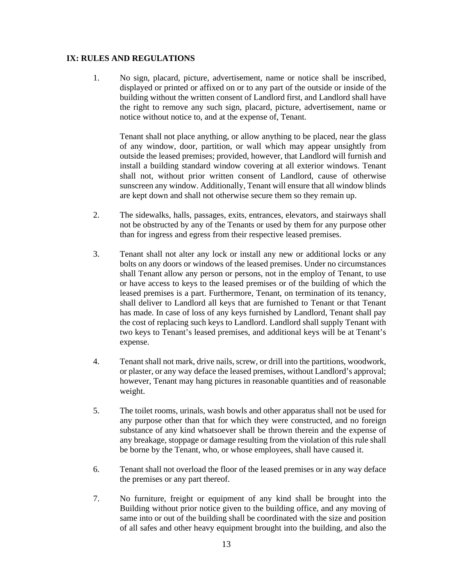## **IX: RULES AND REGULATIONS**

1. No sign, placard, picture, advertisement, name or notice shall be inscribed, displayed or printed or affixed on or to any part of the outside or inside of the building without the written consent of Landlord first, and Landlord shall have the right to remove any such sign, placard, picture, advertisement, name or notice without notice to, and at the expense of, Tenant.

Tenant shall not place anything, or allow anything to be placed, near the glass of any window, door, partition, or wall which may appear unsightly from outside the leased premises; provided, however, that Landlord will furnish and install a building standard window covering at all exterior windows. Tenant shall not, without prior written consent of Landlord, cause of otherwise sunscreen any window. Additionally, Tenant will ensure that all window blinds are kept down and shall not otherwise secure them so they remain up.

- 2. The sidewalks, halls, passages, exits, entrances, elevators, and stairways shall not be obstructed by any of the Tenants or used by them for any purpose other than for ingress and egress from their respective leased premises.
- 3. Tenant shall not alter any lock or install any new or additional locks or any bolts on any doors or windows of the leased premises. Under no circumstances shall Tenant allow any person or persons, not in the employ of Tenant, to use or have access to keys to the leased premises or of the building of which the leased premises is a part. Furthermore, Tenant, on termination of its tenancy, shall deliver to Landlord all keys that are furnished to Tenant or that Tenant has made. In case of loss of any keys furnished by Landlord, Tenant shall pay the cost of replacing such keys to Landlord. Landlord shall supply Tenant with two keys to Tenant's leased premises, and additional keys will be at Tenant's expense.
- 4. Tenant shall not mark, drive nails, screw, or drill into the partitions, woodwork, or plaster, or any way deface the leased premises, without Landlord's approval; however, Tenant may hang pictures in reasonable quantities and of reasonable weight.
- 5. The toilet rooms, urinals, wash bowls and other apparatus shall not be used for any purpose other than that for which they were constructed, and no foreign substance of any kind whatsoever shall be thrown therein and the expense of any breakage, stoppage or damage resulting from the violation of this rule shall be borne by the Tenant, who, or whose employees, shall have caused it.
- 6. Tenant shall not overload the floor of the leased premises or in any way deface the premises or any part thereof.
- 7. No furniture, freight or equipment of any kind shall be brought into the Building without prior notice given to the building office, and any moving of same into or out of the building shall be coordinated with the size and position of all safes and other heavy equipment brought into the building, and also the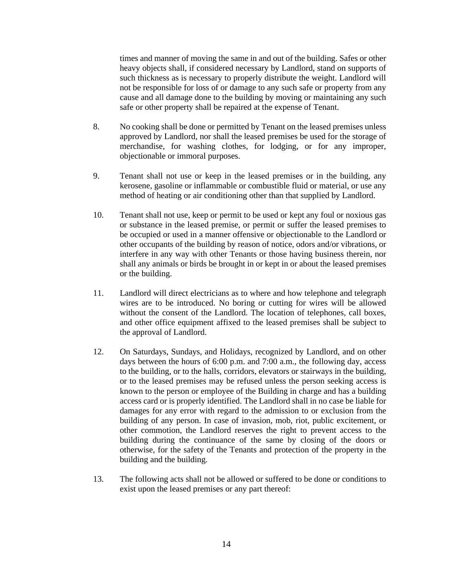times and manner of moving the same in and out of the building. Safes or other heavy objects shall, if considered necessary by Landlord, stand on supports of such thickness as is necessary to properly distribute the weight. Landlord will not be responsible for loss of or damage to any such safe or property from any cause and all damage done to the building by moving or maintaining any such safe or other property shall be repaired at the expense of Tenant.

- 8. No cooking shall be done or permitted by Tenant on the leased premises unless approved by Landlord, nor shall the leased premises be used for the storage of merchandise, for washing clothes, for lodging, or for any improper, objectionable or immoral purposes.
- 9. Tenant shall not use or keep in the leased premises or in the building, any kerosene, gasoline or inflammable or combustible fluid or material, or use any method of heating or air conditioning other than that supplied by Landlord.
- 10. Tenant shall not use, keep or permit to be used or kept any foul or noxious gas or substance in the leased premise, or permit or suffer the leased premises to be occupied or used in a manner offensive or objectionable to the Landlord or other occupants of the building by reason of notice, odors and/or vibrations, or interfere in any way with other Tenants or those having business therein, nor shall any animals or birds be brought in or kept in or about the leased premises or the building.
- 11. Landlord will direct electricians as to where and how telephone and telegraph wires are to be introduced. No boring or cutting for wires will be allowed without the consent of the Landlord. The location of telephones, call boxes, and other office equipment affixed to the leased premises shall be subject to the approval of Landlord.
- 12. On Saturdays, Sundays, and Holidays, recognized by Landlord, and on other days between the hours of 6:00 p.m. and 7:00 a.m., the following day, access to the building, or to the halls, corridors, elevators or stairways in the building, or to the leased premises may be refused unless the person seeking access is known to the person or employee of the Building in charge and has a building access card or is properly identified. The Landlord shall in no case be liable for damages for any error with regard to the admission to or exclusion from the building of any person. In case of invasion, mob, riot, public excitement, or other commotion, the Landlord reserves the right to prevent access to the building during the continuance of the same by closing of the doors or otherwise, for the safety of the Tenants and protection of the property in the building and the building.
- 13. The following acts shall not be allowed or suffered to be done or conditions to exist upon the leased premises or any part thereof: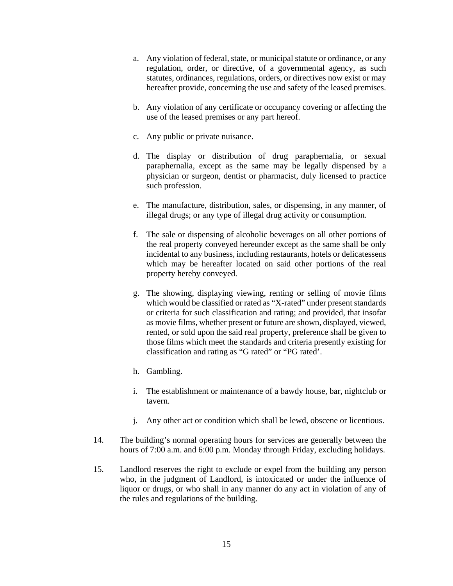- a. Any violation of federal, state, or municipal statute or ordinance, or any regulation, order, or directive, of a governmental agency, as such statutes, ordinances, regulations, orders, or directives now exist or may hereafter provide, concerning the use and safety of the leased premises.
- b. Any violation of any certificate or occupancy covering or affecting the use of the leased premises or any part hereof.
- c. Any public or private nuisance.
- d. The display or distribution of drug paraphernalia, or sexual paraphernalia, except as the same may be legally dispensed by a physician or surgeon, dentist or pharmacist, duly licensed to practice such profession.
- e. The manufacture, distribution, sales, or dispensing, in any manner, of illegal drugs; or any type of illegal drug activity or consumption.
- f. The sale or dispensing of alcoholic beverages on all other portions of the real property conveyed hereunder except as the same shall be only incidental to any business, including restaurants, hotels or delicatessens which may be hereafter located on said other portions of the real property hereby conveyed.
- g. The showing, displaying viewing, renting or selling of movie films which would be classified or rated as "X-rated" under present standards or criteria for such classification and rating; and provided, that insofar as movie films, whether present or future are shown, displayed, viewed, rented, or sold upon the said real property, preference shall be given to those films which meet the standards and criteria presently existing for classification and rating as "G rated" or "PG rated'.
- h. Gambling.
- i. The establishment or maintenance of a bawdy house, bar, nightclub or tavern.
- j. Any other act or condition which shall be lewd, obscene or licentious.
- 14. The building's normal operating hours for services are generally between the hours of 7:00 a.m. and 6:00 p.m. Monday through Friday, excluding holidays.
- 15. Landlord reserves the right to exclude or expel from the building any person who, in the judgment of Landlord, is intoxicated or under the influence of liquor or drugs, or who shall in any manner do any act in violation of any of the rules and regulations of the building.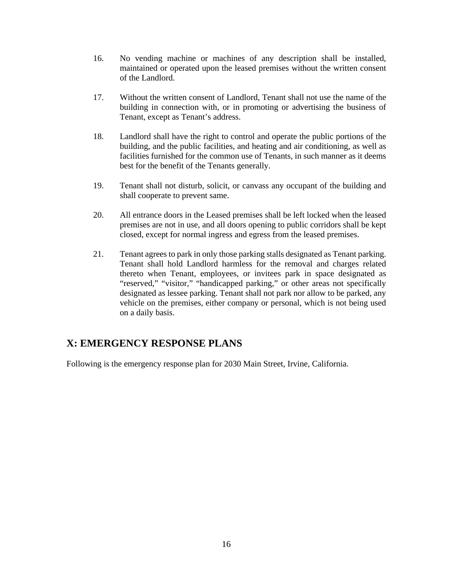- 16. No vending machine or machines of any description shall be installed, maintained or operated upon the leased premises without the written consent of the Landlord.
- 17. Without the written consent of Landlord, Tenant shall not use the name of the building in connection with, or in promoting or advertising the business of Tenant, except as Tenant's address.
- 18. Landlord shall have the right to control and operate the public portions of the building, and the public facilities, and heating and air conditioning, as well as facilities furnished for the common use of Tenants, in such manner as it deems best for the benefit of the Tenants generally.
- 19. Tenant shall not disturb, solicit, or canvass any occupant of the building and shall cooperate to prevent same.
- 20. All entrance doors in the Leased premises shall be left locked when the leased premises are not in use, and all doors opening to public corridors shall be kept closed, except for normal ingress and egress from the leased premises.
- 21. Tenant agrees to park in only those parking stalls designated as Tenant parking. Tenant shall hold Landlord harmless for the removal and charges related thereto when Tenant, employees, or invitees park in space designated as "reserved," "visitor," "handicapped parking," or other areas not specifically designated as lessee parking. Tenant shall not park nor allow to be parked, any vehicle on the premises, either company or personal, which is not being used on a daily basis.

## **X: EMERGENCY RESPONSE PLANS**

Following is the emergency response plan for 2030 Main Street, Irvine, California.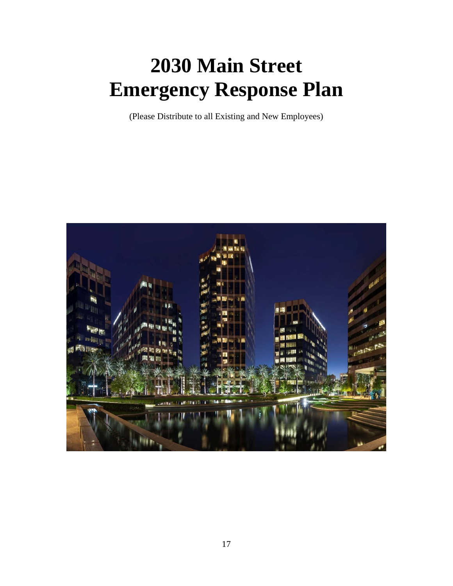# **2030 Main Street Emergency Response Plan**

(Please Distribute to all Existing and New Employees)

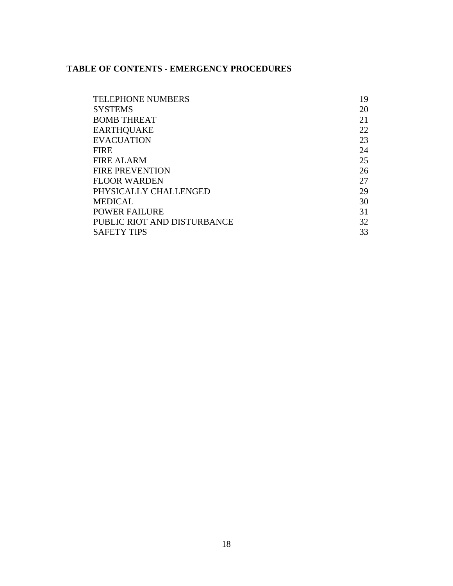## **TABLE OF CONTENTS - EMERGENCY PROCEDURES**

| <b>TELEPHONE NUMBERS</b>    | 19 |
|-----------------------------|----|
| <b>SYSTEMS</b>              | 20 |
| <b>BOMB THREAT</b>          | 21 |
| <b>EARTHQUAKE</b>           | 22 |
| <b>EVACUATION</b>           | 23 |
| <b>FIRE</b>                 | 24 |
| <b>FIRE ALARM</b>           | 25 |
| <b>FIRE PREVENTION</b>      | 26 |
| <b>FLOOR WARDEN</b>         | 27 |
| PHYSICALLY CHALLENGED       | 29 |
| <b>MEDICAL</b>              | 30 |
| <b>POWER FAILURE</b>        | 31 |
| PUBLIC RIOT AND DISTURBANCE | 32 |
| <b>SAFETY TIPS</b>          | 33 |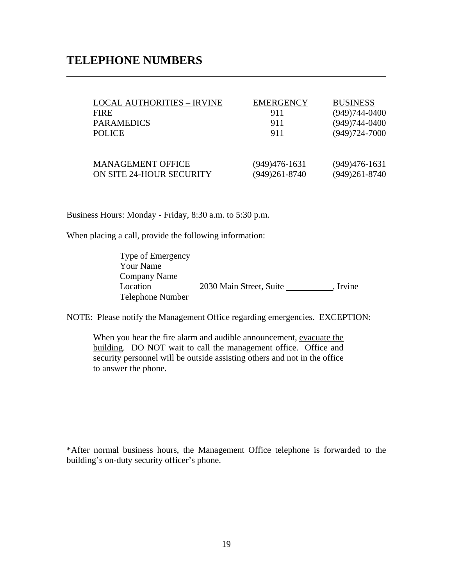## **TELEPHONE NUMBERS**

 $\overline{a}$ 

| <b>LOCAL AUTHORITIES - IRVINE</b> | <b>EMERGENCY</b> | <b>BUSINESS</b>   |
|-----------------------------------|------------------|-------------------|
| <b>FIRE</b>                       | 911              | $(949)744 - 0400$ |
| <b>PARAMEDICS</b>                 | 911              | $(949)744 - 0400$ |
| <b>POLICE</b>                     | 911              | $(949)724 - 7000$ |
|                                   |                  |                   |
|                                   |                  |                   |
| <b>MANAGEMENT OFFICE</b>          | (949)476-1631    | $(949)476-1631$   |
| ON SITE 24-HOUR SECURITY          | (949)261-8740    | $(949)261 - 8740$ |

Business Hours: Monday - Friday, 8:30 a.m. to 5:30 p.m.

When placing a call, provide the following information:

Type of Emergency Your Name Company Name Location 2030 Main Street, Suite , Irvine Telephone Number

NOTE: Please notify the Management Office regarding emergencies. EXCEPTION:

When you hear the fire alarm and audible announcement, evacuate the building. DO NOT wait to call the management office. Office and security personnel will be outside assisting others and not in the office to answer the phone.

\*After normal business hours, the Management Office telephone is forwarded to the building's on-duty security officer's phone.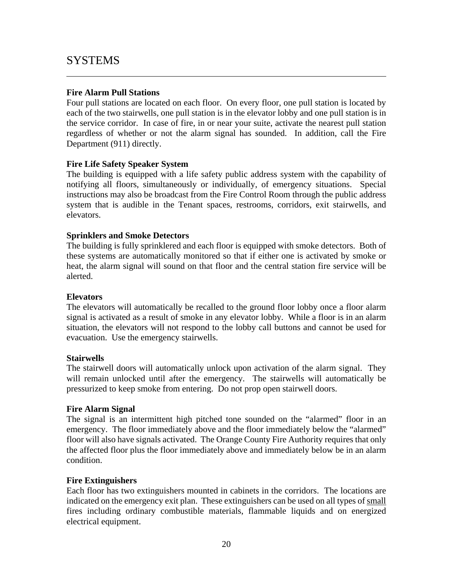## SYSTEMS

 $\overline{a}$ 

## **Fire Alarm Pull Stations**

Four pull stations are located on each floor. On every floor, one pull station is located by each of the two stairwells, one pull station is in the elevator lobby and one pull station is in the service corridor. In case of fire, in or near your suite, activate the nearest pull station regardless of whether or not the alarm signal has sounded. In addition, call the Fire Department (911) directly.

## **Fire Life Safety Speaker System**

The building is equipped with a life safety public address system with the capability of notifying all floors, simultaneously or individually, of emergency situations. Special instructions may also be broadcast from the Fire Control Room through the public address system that is audible in the Tenant spaces, restrooms, corridors, exit stairwells, and elevators.

## **Sprinklers and Smoke Detectors**

The building is fully sprinklered and each floor is equipped with smoke detectors. Both of these systems are automatically monitored so that if either one is activated by smoke or heat, the alarm signal will sound on that floor and the central station fire service will be alerted.

## **Elevators**

The elevators will automatically be recalled to the ground floor lobby once a floor alarm signal is activated as a result of smoke in any elevator lobby. While a floor is in an alarm situation, the elevators will not respond to the lobby call buttons and cannot be used for evacuation. Use the emergency stairwells.

## **Stairwells**

The stairwell doors will automatically unlock upon activation of the alarm signal. They will remain unlocked until after the emergency. The stairwells will automatically be pressurized to keep smoke from entering. Do not prop open stairwell doors.

## **Fire Alarm Signal**

The signal is an intermittent high pitched tone sounded on the "alarmed" floor in an emergency. The floor immediately above and the floor immediately below the "alarmed" floor will also have signals activated. The Orange County Fire Authority requires that only the affected floor plus the floor immediately above and immediately below be in an alarm condition.

## **Fire Extinguishers**

Each floor has two extinguishers mounted in cabinets in the corridors. The locations are indicated on the emergency exit plan. These extinguishers can be used on all types of small fires including ordinary combustible materials, flammable liquids and on energized electrical equipment.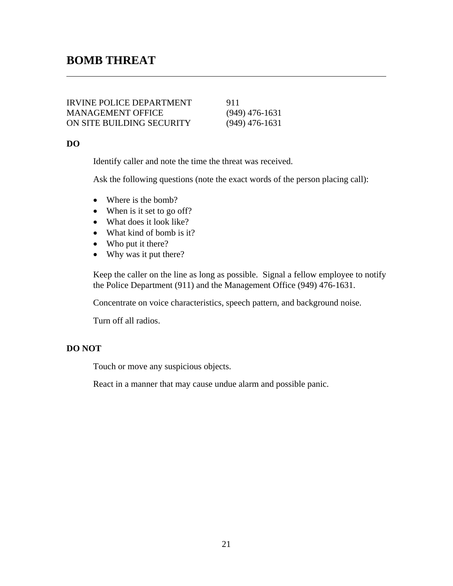## **BOMB THREAT**

| <b>IRVINE POLICE DEPARTMENT</b> | 911              |
|---------------------------------|------------------|
| <b>MANAGEMENT OFFICE</b>        | $(949)$ 476-1631 |
| ON SITE BUILDING SECURITY       | $(949)$ 476-1631 |

## **DO**

 $\overline{a}$ 

Identify caller and note the time the threat was received.

Ask the following questions (note the exact words of the person placing call):

- Where is the bomb?
- When is it set to go off?
- What does it look like?
- What kind of bomb is it?
- Who put it there?
- Why was it put there?

Keep the caller on the line as long as possible. Signal a fellow employee to notify the Police Department (911) and the Management Office (949) 476-1631.

Concentrate on voice characteristics, speech pattern, and background noise.

Turn off all radios.

## **DO NOT**

Touch or move any suspicious objects.

React in a manner that may cause undue alarm and possible panic.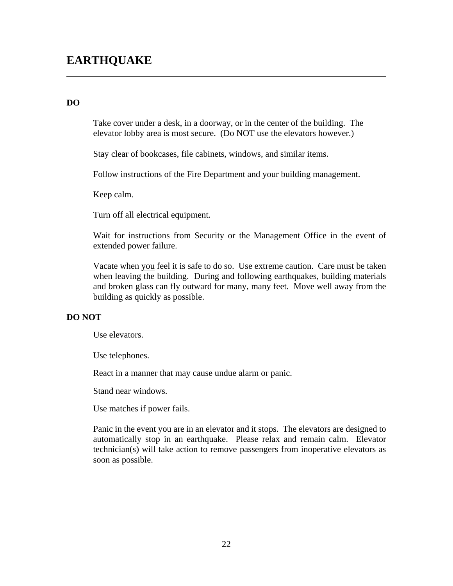## **DO**

 $\overline{a}$ 

Take cover under a desk, in a doorway, or in the center of the building. The elevator lobby area is most secure. (Do NOT use the elevators however.)

Stay clear of bookcases, file cabinets, windows, and similar items.

Follow instructions of the Fire Department and your building management.

Keep calm.

Turn off all electrical equipment.

Wait for instructions from Security or the Management Office in the event of extended power failure.

Vacate when you feel it is safe to do so. Use extreme caution. Care must be taken when leaving the building. During and following earthquakes, building materials and broken glass can fly outward for many, many feet. Move well away from the building as quickly as possible.

## **DO NOT**

Use elevators.

Use telephones.

React in a manner that may cause undue alarm or panic.

Stand near windows.

Use matches if power fails.

Panic in the event you are in an elevator and it stops. The elevators are designed to automatically stop in an earthquake. Please relax and remain calm. Elevator technician(s) will take action to remove passengers from inoperative elevators as soon as possible.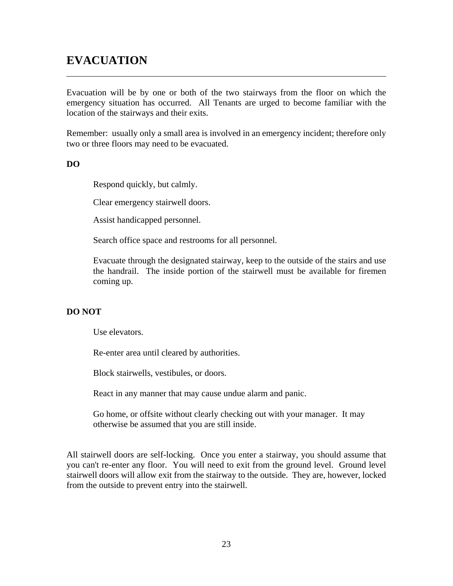## **EVACUATION**

Evacuation will be by one or both of the two stairways from the floor on which the emergency situation has occurred. All Tenants are urged to become familiar with the location of the stairways and their exits.

Remember: usually only a small area is involved in an emergency incident; therefore only two or three floors may need to be evacuated.

## **DO**

 $\overline{a}$ 

Respond quickly, but calmly.

Clear emergency stairwell doors.

Assist handicapped personnel.

Search office space and restrooms for all personnel.

Evacuate through the designated stairway, keep to the outside of the stairs and use the handrail. The inside portion of the stairwell must be available for firemen coming up.

## **DO NOT**

Use elevators.

Re-enter area until cleared by authorities.

Block stairwells, vestibules, or doors.

React in any manner that may cause undue alarm and panic.

Go home, or offsite without clearly checking out with your manager. It may otherwise be assumed that you are still inside.

All stairwell doors are self-locking. Once you enter a stairway, you should assume that you can't re-enter any floor. You will need to exit from the ground level. Ground level stairwell doors will allow exit from the stairway to the outside. They are, however, locked from the outside to prevent entry into the stairwell.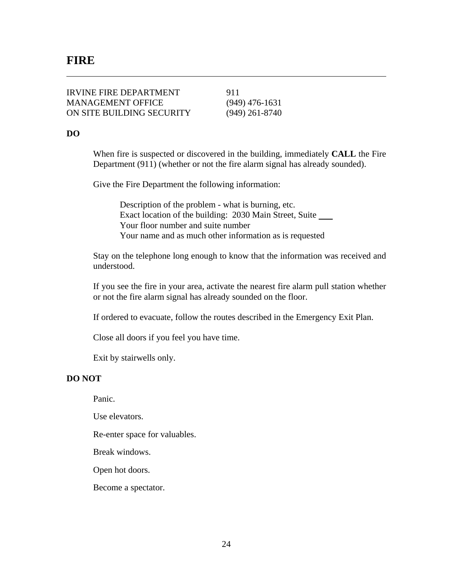$\overline{a}$ 

| <b>IRVINE FIRE DEPARTMENT</b> | 911              |
|-------------------------------|------------------|
| <b>MANAGEMENT OFFICE</b>      | $(949)$ 476-1631 |
| ON SITE BUILDING SECURITY     | $(949)$ 261-8740 |

## **DO**

When fire is suspected or discovered in the building, immediately **CALL** the Fire Department (911) (whether or not the fire alarm signal has already sounded).

Give the Fire Department the following information:

 Description of the problem - what is burning, etc. Exact location of the building: 2030 Main Street, Suite Your floor number and suite number Your name and as much other information as is requested

Stay on the telephone long enough to know that the information was received and understood.

If you see the fire in your area, activate the nearest fire alarm pull station whether or not the fire alarm signal has already sounded on the floor.

If ordered to evacuate, follow the routes described in the Emergency Exit Plan.

Close all doors if you feel you have time.

Exit by stairwells only.

## **DO NOT**

Panic.

Use elevators.

Re-enter space for valuables.

Break windows.

Open hot doors.

Become a spectator.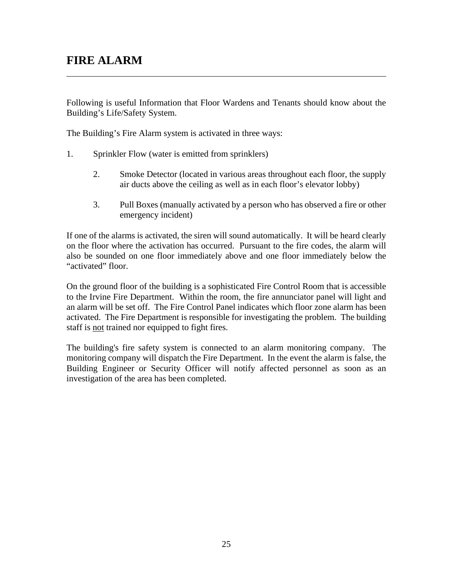## **FIRE ALARM**

 $\overline{a}$ 

Following is useful Information that Floor Wardens and Tenants should know about the Building's Life/Safety System.

The Building's Fire Alarm system is activated in three ways:

- 1. Sprinkler Flow (water is emitted from sprinklers)
	- 2. Smoke Detector (located in various areas throughout each floor, the supply air ducts above the ceiling as well as in each floor's elevator lobby)
	- 3. Pull Boxes (manually activated by a person who has observed a fire or other emergency incident)

If one of the alarms is activated, the siren will sound automatically. It will be heard clearly on the floor where the activation has occurred. Pursuant to the fire codes, the alarm will also be sounded on one floor immediately above and one floor immediately below the "activated" floor.

On the ground floor of the building is a sophisticated Fire Control Room that is accessible to the Irvine Fire Department. Within the room, the fire annunciator panel will light and an alarm will be set off. The Fire Control Panel indicates which floor zone alarm has been activated. The Fire Department is responsible for investigating the problem. The building staff is not trained nor equipped to fight fires.

The building's fire safety system is connected to an alarm monitoring company. The monitoring company will dispatch the Fire Department. In the event the alarm is false, the Building Engineer or Security Officer will notify affected personnel as soon as an investigation of the area has been completed.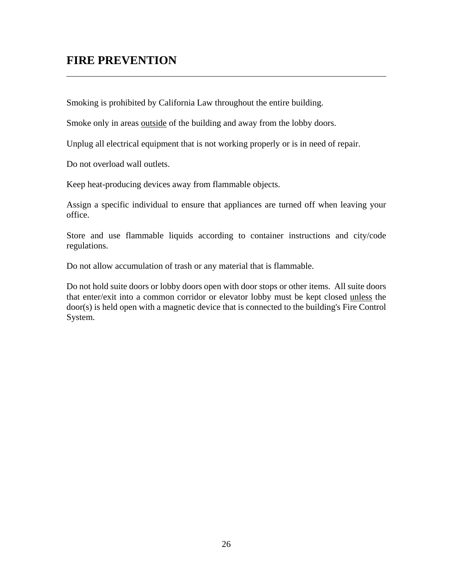## **FIRE PREVENTION**

 $\overline{a}$ 

Smoking is prohibited by California Law throughout the entire building.

Smoke only in areas outside of the building and away from the lobby doors.

Unplug all electrical equipment that is not working properly or is in need of repair.

Do not overload wall outlets.

Keep heat-producing devices away from flammable objects.

Assign a specific individual to ensure that appliances are turned off when leaving your office.

Store and use flammable liquids according to container instructions and city/code regulations.

Do not allow accumulation of trash or any material that is flammable.

Do not hold suite doors or lobby doors open with door stops or other items. All suite doors that enter/exit into a common corridor or elevator lobby must be kept closed unless the door(s) is held open with a magnetic device that is connected to the building's Fire Control System.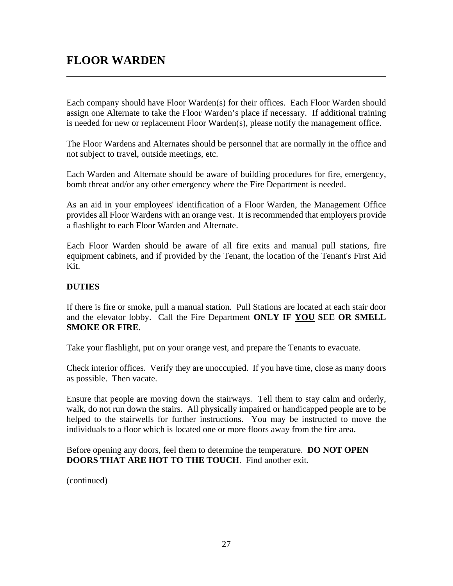## **FLOOR WARDEN**

 $\overline{a}$ 

Each company should have Floor Warden(s) for their offices. Each Floor Warden should assign one Alternate to take the Floor Warden's place if necessary. If additional training is needed for new or replacement Floor Warden(s), please notify the management office.

The Floor Wardens and Alternates should be personnel that are normally in the office and not subject to travel, outside meetings, etc.

Each Warden and Alternate should be aware of building procedures for fire, emergency, bomb threat and/or any other emergency where the Fire Department is needed.

As an aid in your employees' identification of a Floor Warden, the Management Office provides all Floor Wardens with an orange vest. It is recommended that employers provide a flashlight to each Floor Warden and Alternate.

Each Floor Warden should be aware of all fire exits and manual pull stations, fire equipment cabinets, and if provided by the Tenant, the location of the Tenant's First Aid Kit.

## **DUTIES**

If there is fire or smoke, pull a manual station. Pull Stations are located at each stair door and the elevator lobby. Call the Fire Department **ONLY IF YOU SEE OR SMELL SMOKE OR FIRE**.

Take your flashlight, put on your orange vest, and prepare the Tenants to evacuate.

Check interior offices. Verify they are unoccupied. If you have time, close as many doors as possible. Then vacate.

Ensure that people are moving down the stairways. Tell them to stay calm and orderly, walk, do not run down the stairs. All physically impaired or handicapped people are to be helped to the stairwells for further instructions. You may be instructed to move the individuals to a floor which is located one or more floors away from the fire area.

Before opening any doors, feel them to determine the temperature. **DO NOT OPEN DOORS THAT ARE HOT TO THE TOUCH**. Find another exit.

(continued)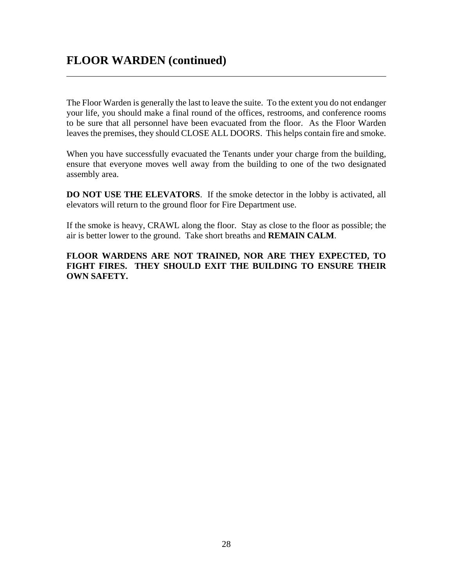$\overline{a}$ 

The Floor Warden is generally the last to leave the suite. To the extent you do not endanger your life, you should make a final round of the offices, restrooms, and conference rooms to be sure that all personnel have been evacuated from the floor. As the Floor Warden leaves the premises, they should CLOSE ALL DOORS. This helps contain fire and smoke.

When you have successfully evacuated the Tenants under your charge from the building, ensure that everyone moves well away from the building to one of the two designated assembly area.

**DO NOT USE THE ELEVATORS**. If the smoke detector in the lobby is activated, all elevators will return to the ground floor for Fire Department use.

If the smoke is heavy, CRAWL along the floor. Stay as close to the floor as possible; the air is better lower to the ground. Take short breaths and **REMAIN CALM**.

**FLOOR WARDENS ARE NOT TRAINED, NOR ARE THEY EXPECTED, TO FIGHT FIRES. THEY SHOULD EXIT THE BUILDING TO ENSURE THEIR OWN SAFETY.**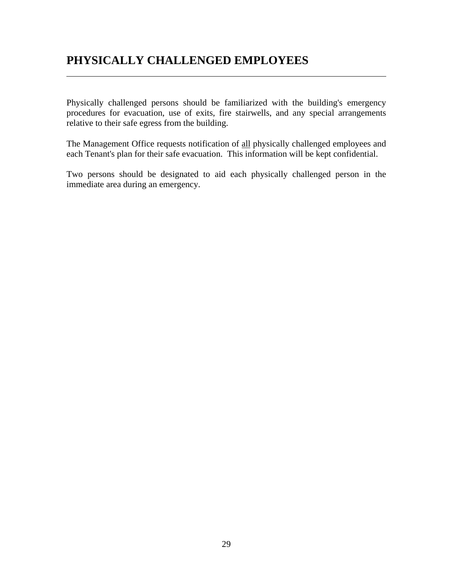## **PHYSICALLY CHALLENGED EMPLOYEES**

 $\overline{a}$ 

Physically challenged persons should be familiarized with the building's emergency procedures for evacuation, use of exits, fire stairwells, and any special arrangements relative to their safe egress from the building.

The Management Office requests notification of all physically challenged employees and each Tenant's plan for their safe evacuation. This information will be kept confidential.

Two persons should be designated to aid each physically challenged person in the immediate area during an emergency.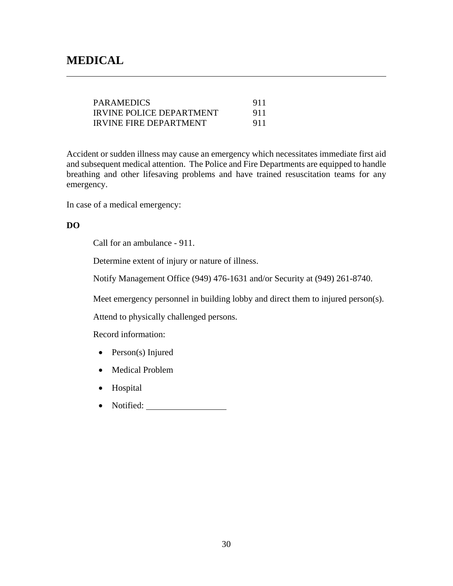$\overline{a}$ 

| <b>PARAMEDICS</b>             | 911 |
|-------------------------------|-----|
| IRVINE POLICE DEPARTMENT      | 911 |
| <b>IRVINE FIRE DEPARTMENT</b> | 911 |

Accident or sudden illness may cause an emergency which necessitates immediate first aid and subsequent medical attention. The Police and Fire Departments are equipped to handle breathing and other lifesaving problems and have trained resuscitation teams for any emergency.

In case of a medical emergency:

## **DO**

Call for an ambulance - 911.

Determine extent of injury or nature of illness.

Notify Management Office (949) 476-1631 and/or Security at (949) 261-8740.

Meet emergency personnel in building lobby and direct them to injured person(s).

Attend to physically challenged persons.

Record information:

- $\bullet$  Person(s) Injured
- Medical Problem
- Hospital
- Notified: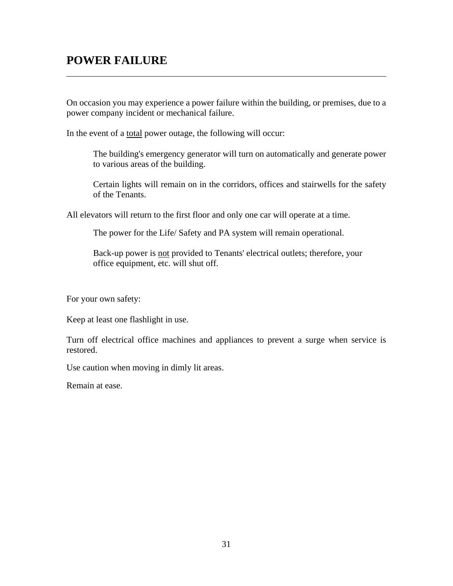## **POWER FAILURE**

 $\overline{a}$ 

On occasion you may experience a power failure within the building, or premises, due to a power company incident or mechanical failure.

In the event of a total power outage, the following will occur:

The building's emergency generator will turn on automatically and generate power to various areas of the building.

Certain lights will remain on in the corridors, offices and stairwells for the safety of the Tenants.

All elevators will return to the first floor and only one car will operate at a time.

The power for the Life/ Safety and PA system will remain operational.

Back-up power is not provided to Tenants' electrical outlets; therefore, your office equipment, etc. will shut off.

For your own safety:

Keep at least one flashlight in use.

Turn off electrical office machines and appliances to prevent a surge when service is restored.

Use caution when moving in dimly lit areas.

Remain at ease.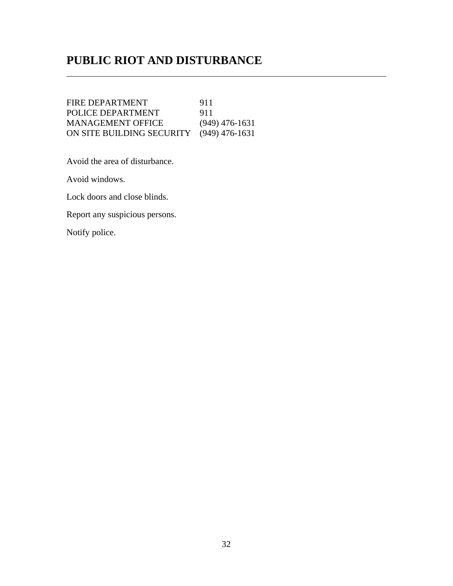## **PUBLIC RIOT AND DISTURBANCE**

FIRE DEPARTMENT 911 POLICE DEPARTMENT 911<br>MANAGEMENT OFFICE (949) 476-1631 **MANAGEMENT OFFICE** ON SITE BUILDING SECURITY (949) 476-1631

Avoid the area of disturbance.

Avoid windows.

 $\overline{a}$ 

Lock doors and close blinds.

Report any suspicious persons.

Notify police.